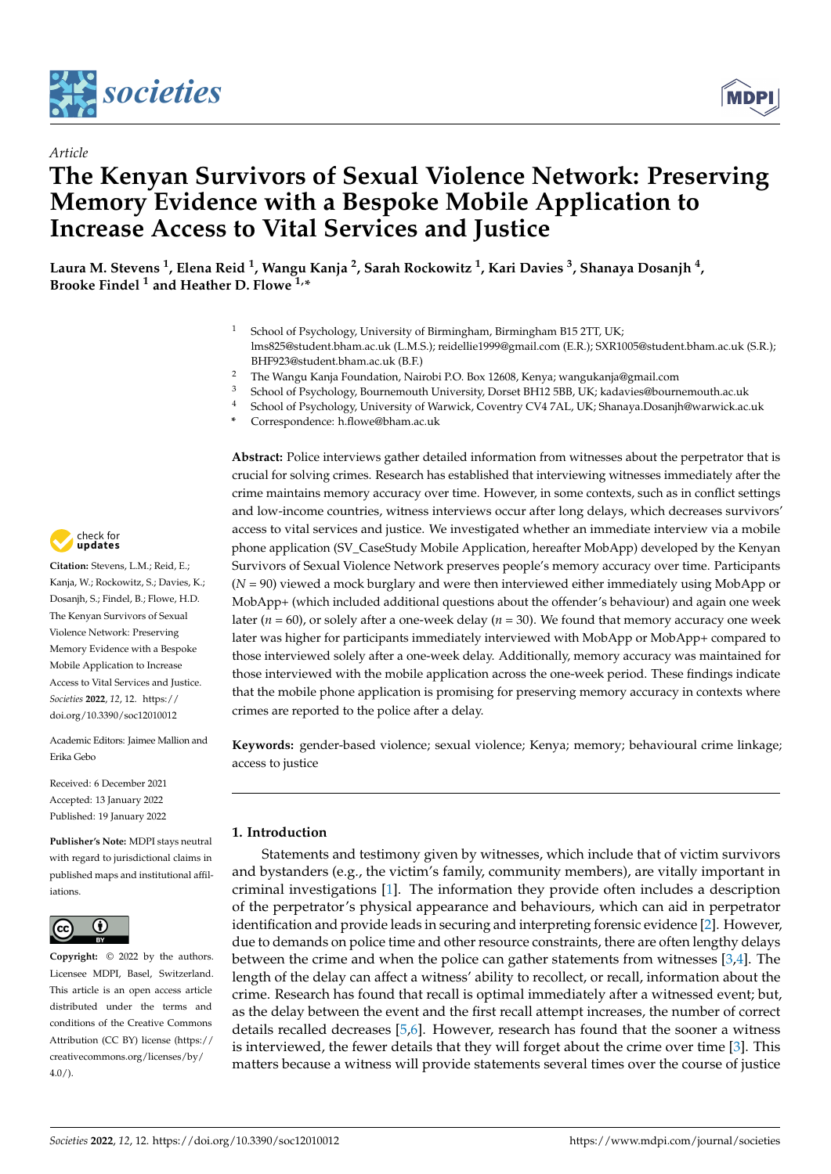



# *Article* **The Kenyan Survivors of Sexual Violence Network: Preserving Memory Evidence with a Bespoke Mobile Application to Increase Access to Vital Services and Justice**

**Laura M. Stevens <sup>1</sup> , Elena Reid <sup>1</sup> , Wangu Kanja <sup>2</sup> , Sarah Rockowitz <sup>1</sup> , Kari Davies <sup>3</sup> , Shanaya Dosanjh <sup>4</sup> , Brooke Findel <sup>1</sup> and Heather D. Flowe 1,\***

- <sup>1</sup> School of Psychology, University of Birmingham, Birmingham B15 2TT, UK; lms825@student.bham.ac.uk (L.M.S.); reidellie1999@gmail.com (E.R.); SXR1005@student.bham.ac.uk (S.R.); BHF923@student.bham.ac.uk (B.F.)
- <sup>2</sup> The Wangu Kanja Foundation, Nairobi P.O. Box 12608, Kenya; wangukanja@gmail.com
- <sup>3</sup> School of Psychology, Bournemouth University, Dorset BH12 5BB, UK; kadavies@bournemouth.ac.uk<br><sup>4</sup> School of Psychology, University of Marwick, Coventry, CV4.7AL, UK; Shapava Decenib@varwick.co
- <sup>4</sup> School of Psychology, University of Warwick, Coventry CV4 7AL, UK; Shanaya.Dosanjh@warwick.ac.uk
- **\*** Correspondence: h.flowe@bham.ac.uk

**Abstract:** Police interviews gather detailed information from witnesses about the perpetrator that is crucial for solving crimes. Research has established that interviewing witnesses immediately after the crime maintains memory accuracy over time. However, in some contexts, such as in conflict settings and low-income countries, witness interviews occur after long delays, which decreases survivors' access to vital services and justice. We investigated whether an immediate interview via a mobile phone application (SV\_CaseStudy Mobile Application, hereafter MobApp) developed by the Kenyan Survivors of Sexual Violence Network preserves people's memory accuracy over time. Participants (*N* = 90) viewed a mock burglary and were then interviewed either immediately using MobApp or MobApp+ (which included additional questions about the offender's behaviour) and again one week later (*n* = 60), or solely after a one-week delay (*n* = 30). We found that memory accuracy one week later was higher for participants immediately interviewed with MobApp or MobApp+ compared to those interviewed solely after a one-week delay. Additionally, memory accuracy was maintained for those interviewed with the mobile application across the one-week period. These findings indicate that the mobile phone application is promising for preserving memory accuracy in contexts where crimes are reported to the police after a delay.

**Keywords:** gender-based violence; sexual violence; Kenya; memory; behavioural crime linkage; access to justice

# **1. Introduction**

Statements and testimony given by witnesses, which include that of victim survivors and bystanders (e.g., the victim's family, community members), are vitally important in criminal investigations [\[1\]](#page-11-0). The information they provide often includes a description of the perpetrator's physical appearance and behaviours, which can aid in perpetrator identification and provide leads in securing and interpreting forensic evidence [\[2\]](#page-11-1). However, due to demands on police time and other resource constraints, there are often lengthy delays between the crime and when the police can gather statements from witnesses [\[3,](#page-11-2)[4\]](#page-11-3). The length of the delay can affect a witness' ability to recollect, or recall, information about the crime. Research has found that recall is optimal immediately after a witnessed event; but, as the delay between the event and the first recall attempt increases, the number of correct details recalled decreases [\[5](#page-11-4)[,6\]](#page-11-5). However, research has found that the sooner a witness is interviewed, the fewer details that they will forget about the crime over time [\[3\]](#page-11-2). This matters because a witness will provide statements several times over the course of justice



**Citation:** Stevens, L.M.; Reid, E.; Kanja, W.; Rockowitz, S.; Davies, K.; Dosanjh, S.; Findel, B.; Flowe, H.D. The Kenyan Survivors of Sexual Violence Network: Preserving Memory Evidence with a Bespoke Mobile Application to Increase Access to Vital Services and Justice. *Societies* **2022**, *12*, 12. [https://](https://doi.org/10.3390/soc12010012) [doi.org/10.3390/soc12010012](https://doi.org/10.3390/soc12010012)

Academic Editors: Jaimee Mallion and Erika Gebo

Received: 6 December 2021 Accepted: 13 January 2022 Published: 19 January 2022

**Publisher's Note:** MDPI stays neutral with regard to jurisdictional claims in published maps and institutional affiliations.



**Copyright:** © 2022 by the authors. Licensee MDPI, Basel, Switzerland. This article is an open access article distributed under the terms and conditions of the Creative Commons Attribution (CC BY) license [\(https://](https://creativecommons.org/licenses/by/4.0/) [creativecommons.org/licenses/by/](https://creativecommons.org/licenses/by/4.0/)  $4.0/$ ).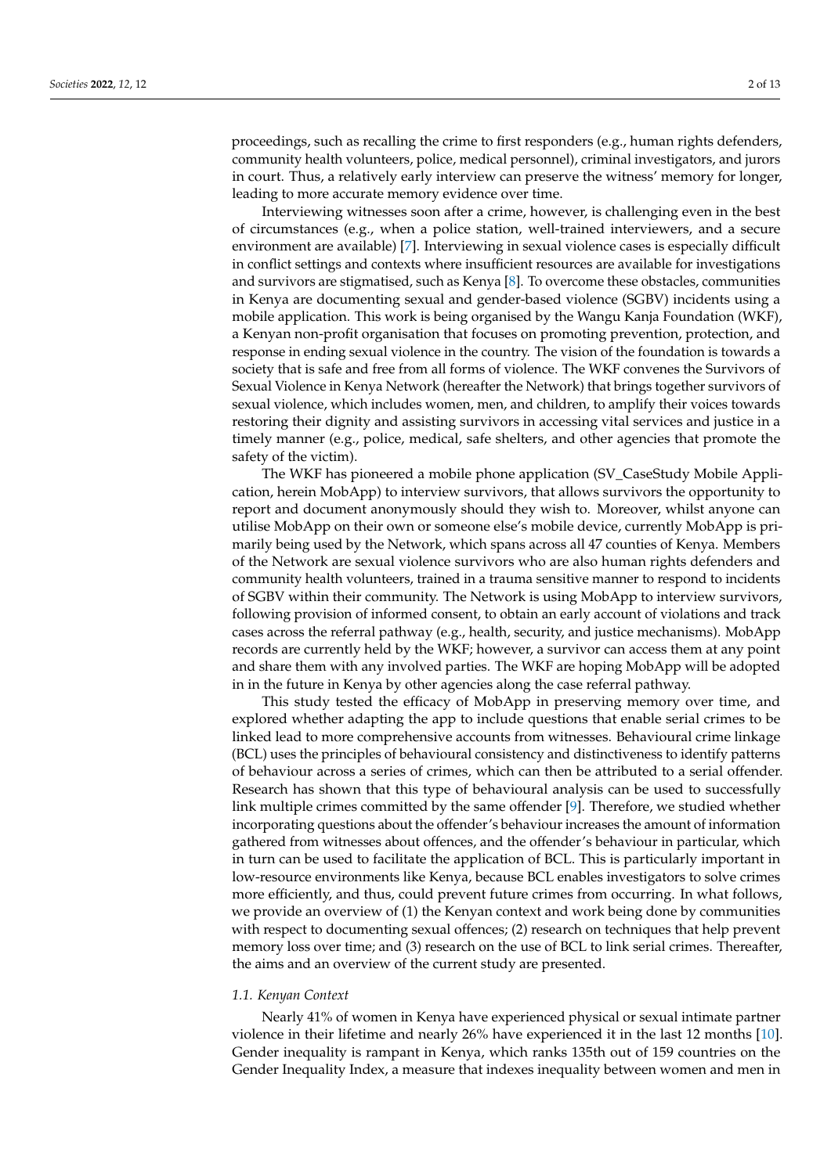proceedings, such as recalling the crime to first responders (e.g., human rights defenders, community health volunteers, police, medical personnel), criminal investigators, and jurors in court. Thus, a relatively early interview can preserve the witness' memory for longer, leading to more accurate memory evidence over time.

Interviewing witnesses soon after a crime, however, is challenging even in the best of circumstances (e.g., when a police station, well-trained interviewers, and a secure environment are available) [\[7\]](#page-11-6). Interviewing in sexual violence cases is especially difficult in conflict settings and contexts where insufficient resources are available for investigations and survivors are stigmatised, such as Kenya [\[8\]](#page-11-7). To overcome these obstacles, communities in Kenya are documenting sexual and gender-based violence (SGBV) incidents using a mobile application. This work is being organised by the Wangu Kanja Foundation (WKF), a Kenyan non-profit organisation that focuses on promoting prevention, protection, and response in ending sexual violence in the country. The vision of the foundation is towards a society that is safe and free from all forms of violence. The WKF convenes the Survivors of Sexual Violence in Kenya Network (hereafter the Network) that brings together survivors of sexual violence, which includes women, men, and children, to amplify their voices towards restoring their dignity and assisting survivors in accessing vital services and justice in a timely manner (e.g., police, medical, safe shelters, and other agencies that promote the safety of the victim).

The WKF has pioneered a mobile phone application (SV\_CaseStudy Mobile Application, herein MobApp) to interview survivors, that allows survivors the opportunity to report and document anonymously should they wish to. Moreover, whilst anyone can utilise MobApp on their own or someone else's mobile device, currently MobApp is primarily being used by the Network, which spans across all 47 counties of Kenya. Members of the Network are sexual violence survivors who are also human rights defenders and community health volunteers, trained in a trauma sensitive manner to respond to incidents of SGBV within their community. The Network is using MobApp to interview survivors, following provision of informed consent, to obtain an early account of violations and track cases across the referral pathway (e.g., health, security, and justice mechanisms). MobApp records are currently held by the WKF; however, a survivor can access them at any point and share them with any involved parties. The WKF are hoping MobApp will be adopted in in the future in Kenya by other agencies along the case referral pathway.

This study tested the efficacy of MobApp in preserving memory over time, and explored whether adapting the app to include questions that enable serial crimes to be linked lead to more comprehensive accounts from witnesses. Behavioural crime linkage (BCL) uses the principles of behavioural consistency and distinctiveness to identify patterns of behaviour across a series of crimes, which can then be attributed to a serial offender. Research has shown that this type of behavioural analysis can be used to successfully link multiple crimes committed by the same offender [\[9\]](#page-11-8). Therefore, we studied whether incorporating questions about the offender's behaviour increases the amount of information gathered from witnesses about offences, and the offender's behaviour in particular, which in turn can be used to facilitate the application of BCL. This is particularly important in low-resource environments like Kenya, because BCL enables investigators to solve crimes more efficiently, and thus, could prevent future crimes from occurring. In what follows, we provide an overview of (1) the Kenyan context and work being done by communities with respect to documenting sexual offences; (2) research on techniques that help prevent memory loss over time; and (3) research on the use of BCL to link serial crimes. Thereafter, the aims and an overview of the current study are presented.

#### *1.1. Kenyan Context*

Nearly 41% of women in Kenya have experienced physical or sexual intimate partner violence in their lifetime and nearly 26% have experienced it in the last 12 months [\[10\]](#page-11-9). Gender inequality is rampant in Kenya, which ranks 135th out of 159 countries on the Gender Inequality Index, a measure that indexes inequality between women and men in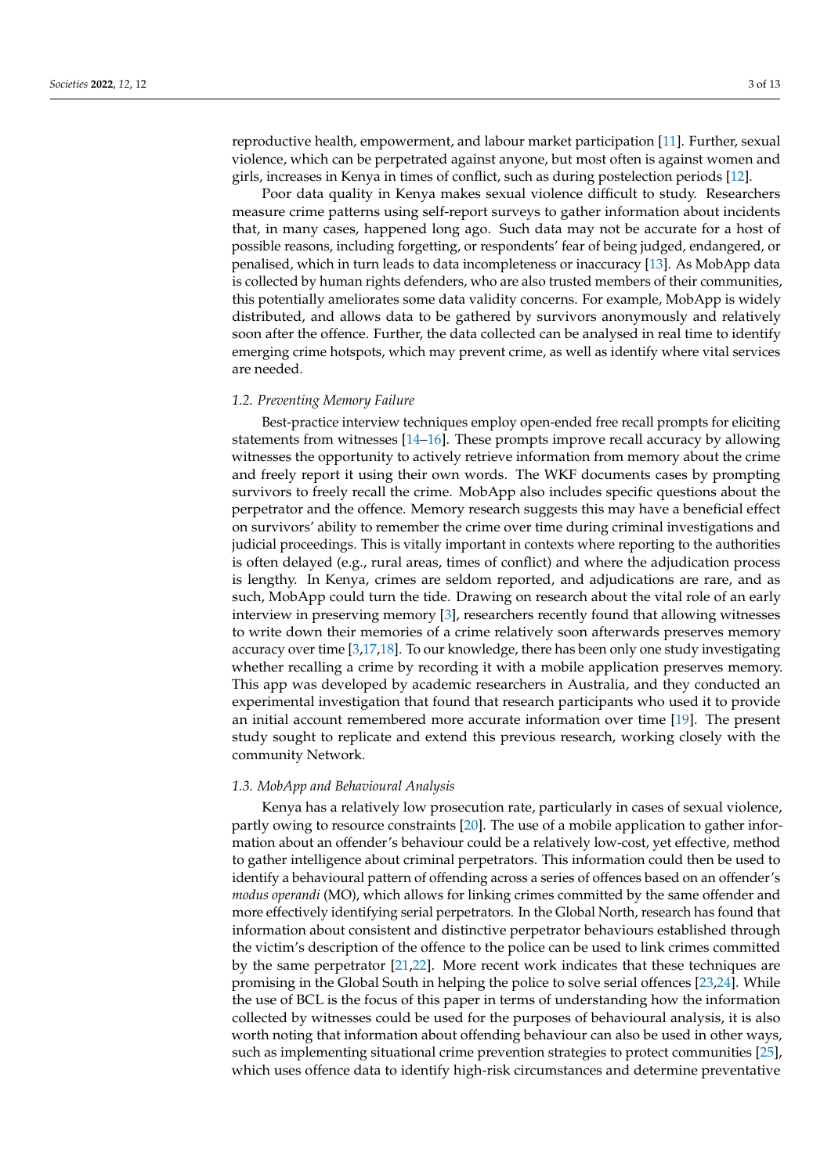reproductive health, empowerment, and labour market participation [\[11\]](#page-11-10). Further, sexual violence, which can be perpetrated against anyone, but most often is against women and girls, increases in Kenya in times of conflict, such as during postelection periods [\[12\]](#page-11-11).

Poor data quality in Kenya makes sexual violence difficult to study. Researchers measure crime patterns using self-report surveys to gather information about incidents that, in many cases, happened long ago. Such data may not be accurate for a host of possible reasons, including forgetting, or respondents' fear of being judged, endangered, or penalised, which in turn leads to data incompleteness or inaccuracy [\[13\]](#page-11-12). As MobApp data is collected by human rights defenders, who are also trusted members of their communities, this potentially ameliorates some data validity concerns. For example, MobApp is widely distributed, and allows data to be gathered by survivors anonymously and relatively soon after the offence. Further, the data collected can be analysed in real time to identify emerging crime hotspots, which may prevent crime, as well as identify where vital services are needed.

#### *1.2. Preventing Memory Failure*

Best-practice interview techniques employ open-ended free recall prompts for eliciting statements from witnesses [\[14](#page-11-13)[–16\]](#page-11-14). These prompts improve recall accuracy by allowing witnesses the opportunity to actively retrieve information from memory about the crime and freely report it using their own words. The WKF documents cases by prompting survivors to freely recall the crime. MobApp also includes specific questions about the perpetrator and the offence. Memory research suggests this may have a beneficial effect on survivors' ability to remember the crime over time during criminal investigations and judicial proceedings. This is vitally important in contexts where reporting to the authorities is often delayed (e.g., rural areas, times of conflict) and where the adjudication process is lengthy. In Kenya, crimes are seldom reported, and adjudications are rare, and as such, MobApp could turn the tide. Drawing on research about the vital role of an early interview in preserving memory [\[3\]](#page-11-2), researchers recently found that allowing witnesses to write down their memories of a crime relatively soon afterwards preserves memory accuracy over time [\[3,](#page-11-2)[17](#page-11-15)[,18\]](#page-11-16). To our knowledge, there has been only one study investigating whether recalling a crime by recording it with a mobile application preserves memory. This app was developed by academic researchers in Australia, and they conducted an experimental investigation that found that research participants who used it to provide an initial account remembered more accurate information over time [\[19\]](#page-11-17). The present study sought to replicate and extend this previous research, working closely with the community Network.

#### *1.3. MobApp and Behavioural Analysis*

Kenya has a relatively low prosecution rate, particularly in cases of sexual violence, partly owing to resource constraints [\[20\]](#page-11-18). The use of a mobile application to gather information about an offender's behaviour could be a relatively low-cost, yet effective, method to gather intelligence about criminal perpetrators. This information could then be used to identify a behavioural pattern of offending across a series of offences based on an offender's *modus operandi* (MO), which allows for linking crimes committed by the same offender and more effectively identifying serial perpetrators. In the Global North, research has found that information about consistent and distinctive perpetrator behaviours established through the victim's description of the offence to the police can be used to link crimes committed by the same perpetrator [\[21,](#page-11-19)[22\]](#page-11-20). More recent work indicates that these techniques are promising in the Global South in helping the police to solve serial offences [\[23](#page-11-21)[,24\]](#page-11-22). While the use of BCL is the focus of this paper in terms of understanding how the information collected by witnesses could be used for the purposes of behavioural analysis, it is also worth noting that information about offending behaviour can also be used in other ways, such as implementing situational crime prevention strategies to protect communities [\[25\]](#page-11-23), which uses offence data to identify high-risk circumstances and determine preventative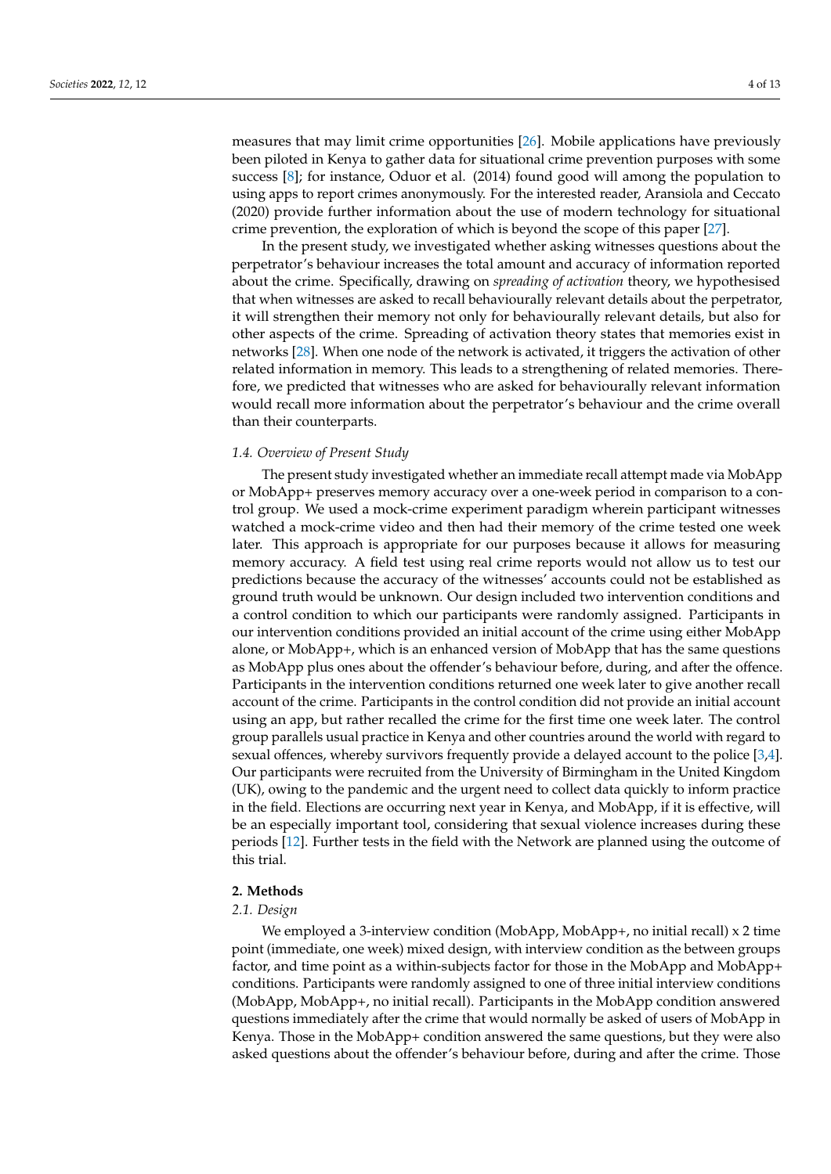measures that may limit crime opportunities [\[26\]](#page-11-24). Mobile applications have previously been piloted in Kenya to gather data for situational crime prevention purposes with some success [\[8\]](#page-11-7); for instance, Oduor et al. (2014) found good will among the population to using apps to report crimes anonymously. For the interested reader, Aransiola and Ceccato (2020) provide further information about the use of modern technology for situational crime prevention, the exploration of which is beyond the scope of this paper [\[27\]](#page-11-25).

In the present study, we investigated whether asking witnesses questions about the perpetrator's behaviour increases the total amount and accuracy of information reported about the crime. Specifically, drawing on *spreading of activation* theory, we hypothesised that when witnesses are asked to recall behaviourally relevant details about the perpetrator, it will strengthen their memory not only for behaviourally relevant details, but also for other aspects of the crime. Spreading of activation theory states that memories exist in networks [\[28\]](#page-11-26). When one node of the network is activated, it triggers the activation of other related information in memory. This leads to a strengthening of related memories. Therefore, we predicted that witnesses who are asked for behaviourally relevant information would recall more information about the perpetrator's behaviour and the crime overall than their counterparts.

# *1.4. Overview of Present Study*

The present study investigated whether an immediate recall attempt made via MobApp or MobApp+ preserves memory accuracy over a one-week period in comparison to a control group. We used a mock-crime experiment paradigm wherein participant witnesses watched a mock-crime video and then had their memory of the crime tested one week later. This approach is appropriate for our purposes because it allows for measuring memory accuracy. A field test using real crime reports would not allow us to test our predictions because the accuracy of the witnesses' accounts could not be established as ground truth would be unknown. Our design included two intervention conditions and a control condition to which our participants were randomly assigned. Participants in our intervention conditions provided an initial account of the crime using either MobApp alone, or MobApp+, which is an enhanced version of MobApp that has the same questions as MobApp plus ones about the offender's behaviour before, during, and after the offence. Participants in the intervention conditions returned one week later to give another recall account of the crime. Participants in the control condition did not provide an initial account using an app, but rather recalled the crime for the first time one week later. The control group parallels usual practice in Kenya and other countries around the world with regard to sexual offences, whereby survivors frequently provide a delayed account to the police [\[3](#page-11-2)[,4\]](#page-11-3). Our participants were recruited from the University of Birmingham in the United Kingdom (UK), owing to the pandemic and the urgent need to collect data quickly to inform practice in the field. Elections are occurring next year in Kenya, and MobApp, if it is effective, will be an especially important tool, considering that sexual violence increases during these periods [\[12\]](#page-11-11). Further tests in the field with the Network are planned using the outcome of this trial.

# **2. Methods**

#### *2.1. Design*

We employed a 3-interview condition (MobApp, MobApp+, no initial recall)  $x$  2 time point (immediate, one week) mixed design, with interview condition as the between groups factor, and time point as a within-subjects factor for those in the MobApp and MobApp+ conditions. Participants were randomly assigned to one of three initial interview conditions (MobApp, MobApp+, no initial recall). Participants in the MobApp condition answered questions immediately after the crime that would normally be asked of users of MobApp in Kenya. Those in the MobApp+ condition answered the same questions, but they were also asked questions about the offender's behaviour before, during and after the crime. Those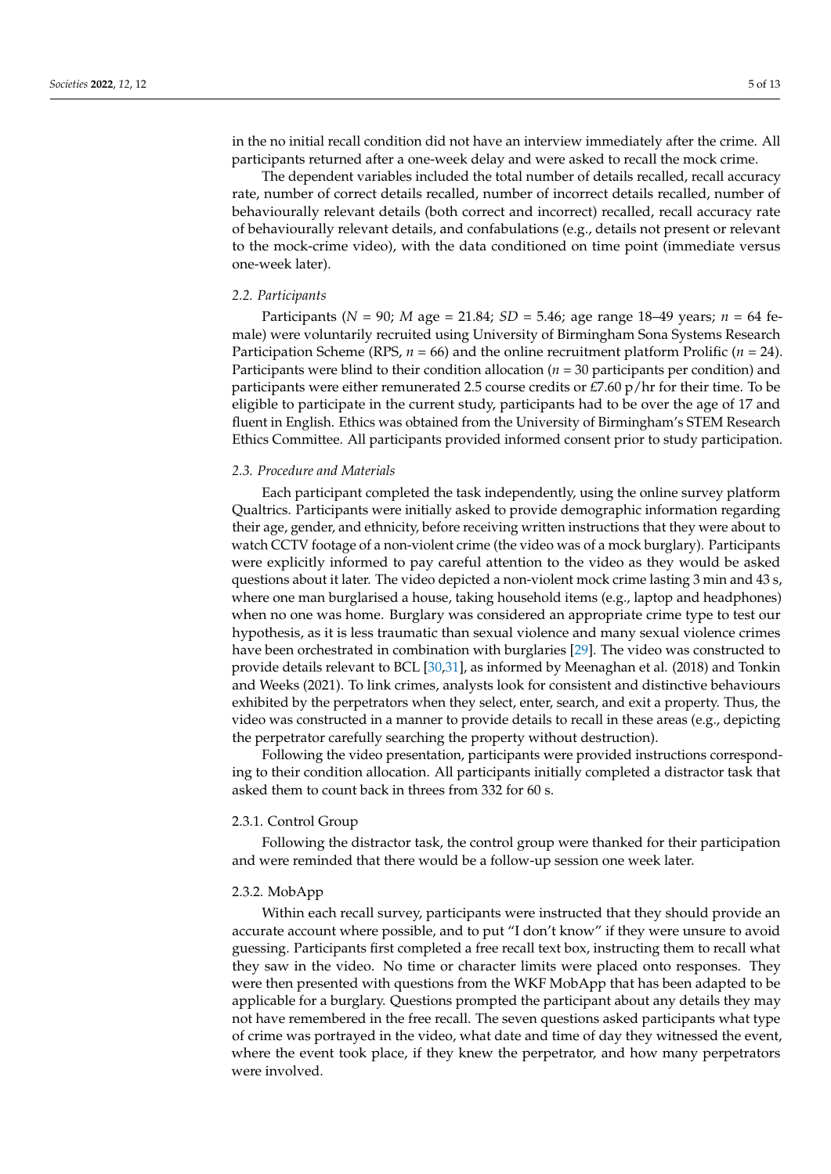in the no initial recall condition did not have an interview immediately after the crime. All participants returned after a one-week delay and were asked to recall the mock crime.

The dependent variables included the total number of details recalled, recall accuracy rate, number of correct details recalled, number of incorrect details recalled, number of behaviourally relevant details (both correct and incorrect) recalled, recall accuracy rate of behaviourally relevant details, and confabulations (e.g., details not present or relevant to the mock-crime video), with the data conditioned on time point (immediate versus one-week later).

#### *2.2. Participants*

Participants (*N* = 90; *M* age = 21.84; *SD* = 5.46; age range 18–49 years; *n* = 64 female) were voluntarily recruited using University of Birmingham Sona Systems Research Participation Scheme (RPS, *n* = 66) and the online recruitment platform Prolific (*n* = 24). Participants were blind to their condition allocation (*n* = 30 participants per condition) and participants were either remunerated 2.5 course credits or  $E7.60$  p/hr for their time. To be eligible to participate in the current study, participants had to be over the age of 17 and fluent in English. Ethics was obtained from the University of Birmingham's STEM Research Ethics Committee. All participants provided informed consent prior to study participation.

# *2.3. Procedure and Materials*

Each participant completed the task independently, using the online survey platform Qualtrics. Participants were initially asked to provide demographic information regarding their age, gender, and ethnicity, before receiving written instructions that they were about to watch CCTV footage of a non-violent crime (the video was of a mock burglary). Participants were explicitly informed to pay careful attention to the video as they would be asked questions about it later. The video depicted a non-violent mock crime lasting 3 min and 43 s, where one man burglarised a house, taking household items (e.g., laptop and headphones) when no one was home. Burglary was considered an appropriate crime type to test our hypothesis, as it is less traumatic than sexual violence and many sexual violence crimes have been orchestrated in combination with burglaries [\[29\]](#page-12-0). The video was constructed to provide details relevant to BCL [\[30,](#page-12-1)[31\]](#page-12-2), as informed by Meenaghan et al. (2018) and Tonkin and Weeks (2021). To link crimes, analysts look for consistent and distinctive behaviours exhibited by the perpetrators when they select, enter, search, and exit a property. Thus, the video was constructed in a manner to provide details to recall in these areas (e.g., depicting the perpetrator carefully searching the property without destruction).

Following the video presentation, participants were provided instructions corresponding to their condition allocation. All participants initially completed a distractor task that asked them to count back in threes from 332 for 60 s.

#### 2.3.1. Control Group

Following the distractor task, the control group were thanked for their participation and were reminded that there would be a follow-up session one week later.

# 2.3.2. MobApp

Within each recall survey, participants were instructed that they should provide an accurate account where possible, and to put "I don't know" if they were unsure to avoid guessing. Participants first completed a free recall text box, instructing them to recall what they saw in the video. No time or character limits were placed onto responses. They were then presented with questions from the WKF MobApp that has been adapted to be applicable for a burglary. Questions prompted the participant about any details they may not have remembered in the free recall. The seven questions asked participants what type of crime was portrayed in the video, what date and time of day they witnessed the event, where the event took place, if they knew the perpetrator, and how many perpetrators were involved.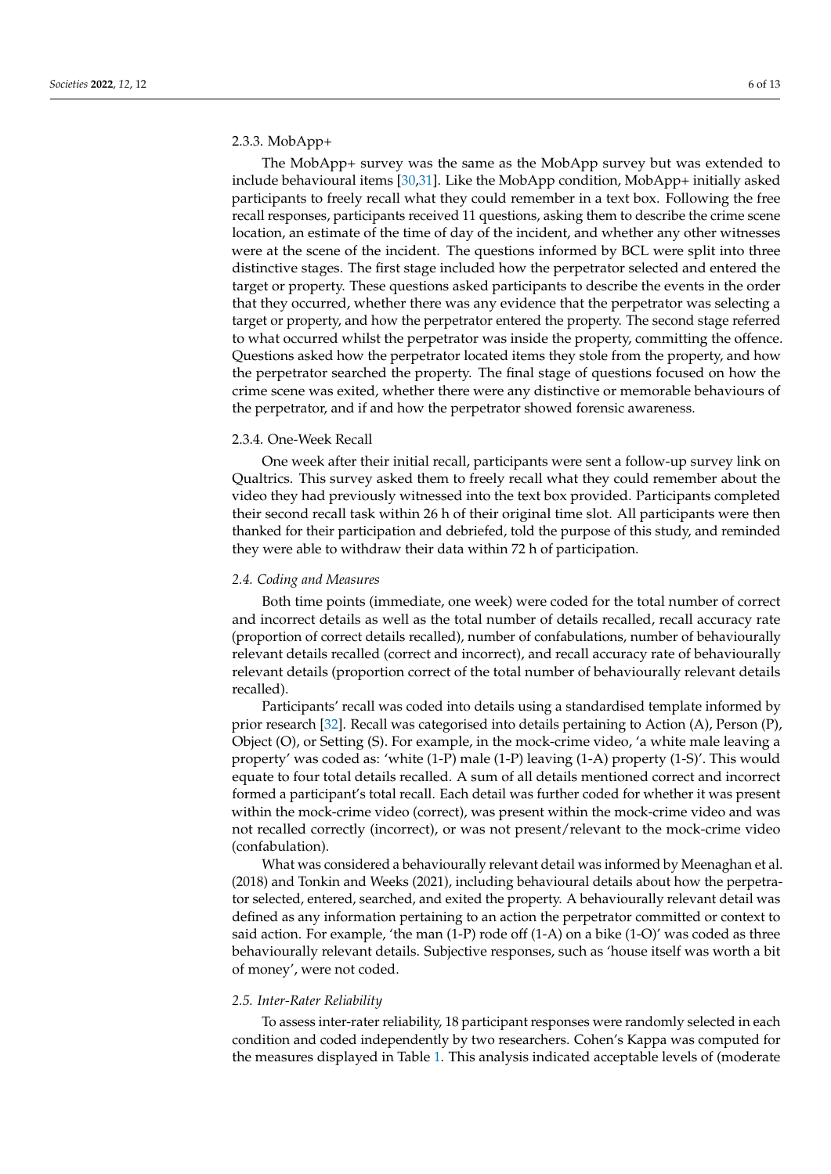# 2.3.3. MobApp+

The MobApp+ survey was the same as the MobApp survey but was extended to include behavioural items [\[30,](#page-12-1)[31\]](#page-12-2). Like the MobApp condition, MobApp+ initially asked participants to freely recall what they could remember in a text box. Following the free recall responses, participants received 11 questions, asking them to describe the crime scene location, an estimate of the time of day of the incident, and whether any other witnesses were at the scene of the incident. The questions informed by BCL were split into three distinctive stages. The first stage included how the perpetrator selected and entered the target or property. These questions asked participants to describe the events in the order that they occurred, whether there was any evidence that the perpetrator was selecting a target or property, and how the perpetrator entered the property. The second stage referred to what occurred whilst the perpetrator was inside the property, committing the offence. Questions asked how the perpetrator located items they stole from the property, and how the perpetrator searched the property. The final stage of questions focused on how the crime scene was exited, whether there were any distinctive or memorable behaviours of the perpetrator, and if and how the perpetrator showed forensic awareness.

#### 2.3.4. One-Week Recall

One week after their initial recall, participants were sent a follow-up survey link on Qualtrics. This survey asked them to freely recall what they could remember about the video they had previously witnessed into the text box provided. Participants completed their second recall task within 26 h of their original time slot. All participants were then thanked for their participation and debriefed, told the purpose of this study, and reminded they were able to withdraw their data within 72 h of participation.

# *2.4. Coding and Measures*

Both time points (immediate, one week) were coded for the total number of correct and incorrect details as well as the total number of details recalled, recall accuracy rate (proportion of correct details recalled), number of confabulations, number of behaviourally relevant details recalled (correct and incorrect), and recall accuracy rate of behaviourally relevant details (proportion correct of the total number of behaviourally relevant details recalled).

Participants' recall was coded into details using a standardised template informed by prior research [\[32\]](#page-12-3). Recall was categorised into details pertaining to Action (A), Person (P), Object (O), or Setting (S). For example, in the mock-crime video, 'a white male leaving a property' was coded as: 'white (1-P) male (1-P) leaving (1-A) property (1-S)'. This would equate to four total details recalled. A sum of all details mentioned correct and incorrect formed a participant's total recall. Each detail was further coded for whether it was present within the mock-crime video (correct), was present within the mock-crime video and was not recalled correctly (incorrect), or was not present/relevant to the mock-crime video (confabulation).

What was considered a behaviourally relevant detail was informed by Meenaghan et al. (2018) and Tonkin and Weeks (2021), including behavioural details about how the perpetrator selected, entered, searched, and exited the property. A behaviourally relevant detail was defined as any information pertaining to an action the perpetrator committed or context to said action. For example, 'the man (1-P) rode off (1-A) on a bike (1-O)' was coded as three behaviourally relevant details. Subjective responses, such as 'house itself was worth a bit of money', were not coded.

#### *2.5. Inter-Rater Reliability*

To assess inter-rater reliability, 18 participant responses were randomly selected in each condition and coded independently by two researchers. Cohen's Kappa was computed for the measures displayed in Table [1.](#page-6-0) This analysis indicated acceptable levels of (moderate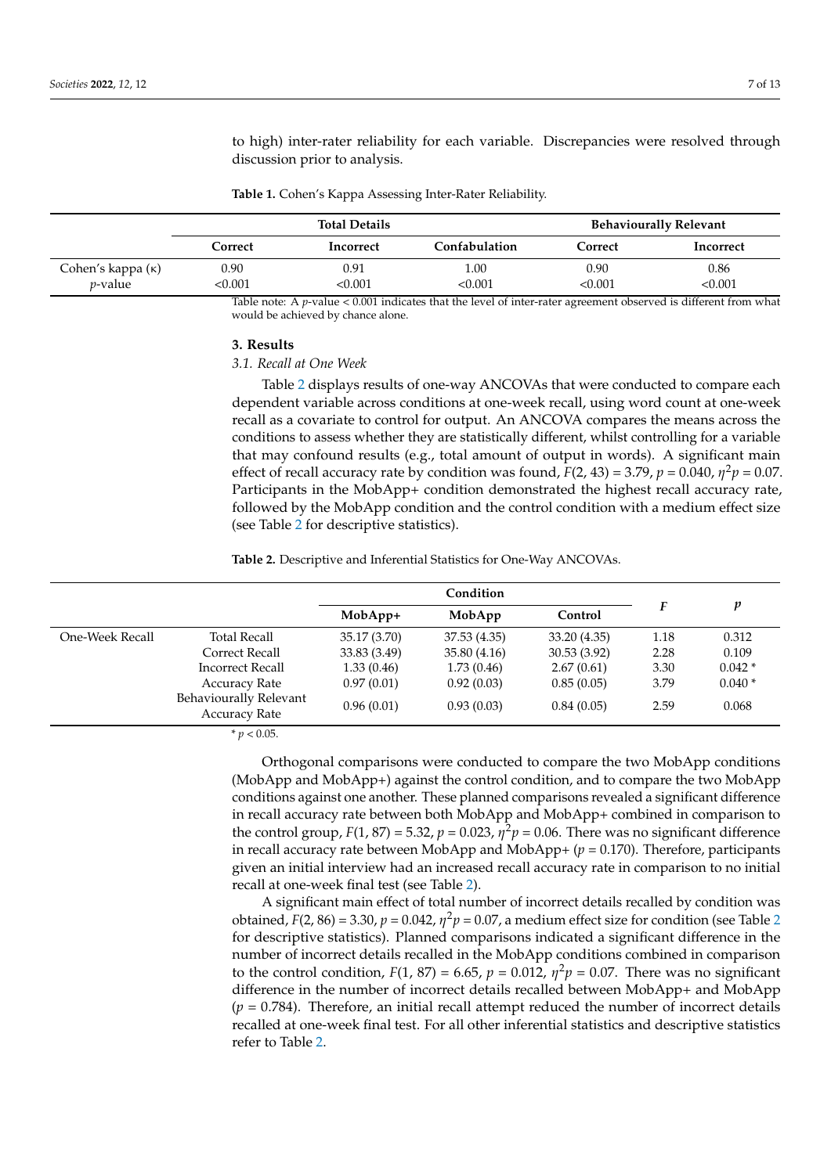to high) inter-rater reliability for each variable. Discrepancies were resolved through discussion prior to analysis.

<span id="page-6-0"></span>**Table 1.** Cohen's Kappa Assessing Inter-Rater Reliability.

|                                             | <b>Total Details</b> |                 |                | <b>Behaviourally Relevant</b> |                 |  |
|---------------------------------------------|----------------------|-----------------|----------------|-------------------------------|-----------------|--|
|                                             | Correct              | Incorrect       | Confabulation  | Correct                       | Incorrect       |  |
| Cohen's kappa $(\kappa)$<br><i>p</i> -value | 0.90<br>< 0.001      | 0.91<br>< 0.001 | 1.00<br><0.001 | 0.90<br><0.001                | 0.86<br>< 0.001 |  |

Table note: A *p*-value < 0.001 indicates that the level of inter-rater agreement observed is different from what would be achieved by chance alone.

# **3. Results**

# *3.1. Recall at One Week*

Table [2](#page-6-1) displays results of one-way ANCOVAs that were conducted to compare each dependent variable across conditions at one-week recall, using word count at one-week recall as a covariate to control for output. An ANCOVA compares the means across the conditions to assess whether they are statistically different, whilst controlling for a variable that may confound results (e.g., total amount of output in words). A significant main effect of recall accuracy rate by condition was found,  $F(2, 43) = 3.79$ ,  $p = 0.040$ ,  $\eta^2 p = 0.07$ . Participants in the MobApp+ condition demonstrated the highest recall accuracy rate, followed by the MobApp condition and the control condition with a medium effect size (see Table [2](#page-6-1) for descriptive statistics).

<span id="page-6-1"></span>**Table 2.** Descriptive and Inferential Statistics for One-Way ANCOVAs.

|                 |                                                | Condition    |              |              |      |          |
|-----------------|------------------------------------------------|--------------|--------------|--------------|------|----------|
|                 |                                                | $MobApp+$    | MobApp       | Control      |      | p        |
| One-Week Recall | <b>Total Recall</b>                            | 35.17 (3.70) | 37.53 (4.35) | 33.20 (4.35) | 1.18 | 0.312    |
|                 | Correct Recall                                 | 33.83 (3.49) | 35.80 (4.16) | 30.53(3.92)  | 2.28 | 0.109    |
|                 | <b>Incorrect Recall</b>                        | 1.33(0.46)   | 1.73(0.46)   | 2.67(0.61)   | 3.30 | $0.042*$ |
|                 | <b>Accuracy Rate</b>                           | 0.97(0.01)   | 0.92(0.03)   | 0.85(0.05)   | 3.79 | $0.040*$ |
|                 | Behaviourally Relevant<br><b>Accuracy Rate</b> | 0.96(0.01)   | 0.93(0.03)   | 0.84(0.05)   | 2.59 | 0.068    |

 $* p < 0.05$ .

Orthogonal comparisons were conducted to compare the two MobApp conditions (MobApp and MobApp+) against the control condition, and to compare the two MobApp conditions against one another. These planned comparisons revealed a significant difference in recall accuracy rate between both MobApp and MobApp+ combined in comparison to the control group,  $F(1, 87) = 5.32$ ,  $p = 0.023$ ,  $\eta^2 p = 0.06$ . There was no significant difference in recall accuracy rate between MobApp and MobApp $+(p = 0.170)$ . Therefore, participants given an initial interview had an increased recall accuracy rate in comparison to no initial recall at one-week final test (see Table [2\)](#page-6-1).

A significant main effect of total number of incorrect details recalled by condition was obtained,  $F(2, 86) = 3.30$  $F(2, 86) = 3.30$  $F(2, 86) = 3.30$ ,  $p = 0.042$ ,  $\eta^2 p = 0.07$ , a medium effect size for condition (see Table 2) for descriptive statistics). Planned comparisons indicated a significant difference in the number of incorrect details recalled in the MobApp conditions combined in comparison to the control condition,  $F(1, 87) = 6.65$ ,  $p = 0.012$ ,  $\eta^2 p = 0.07$ . There was no significant difference in the number of incorrect details recalled between MobApp+ and MobApp (*p* = 0.784). Therefore, an initial recall attempt reduced the number of incorrect details recalled at one-week final test. For all other inferential statistics and descriptive statistics refer to Table [2.](#page-6-1)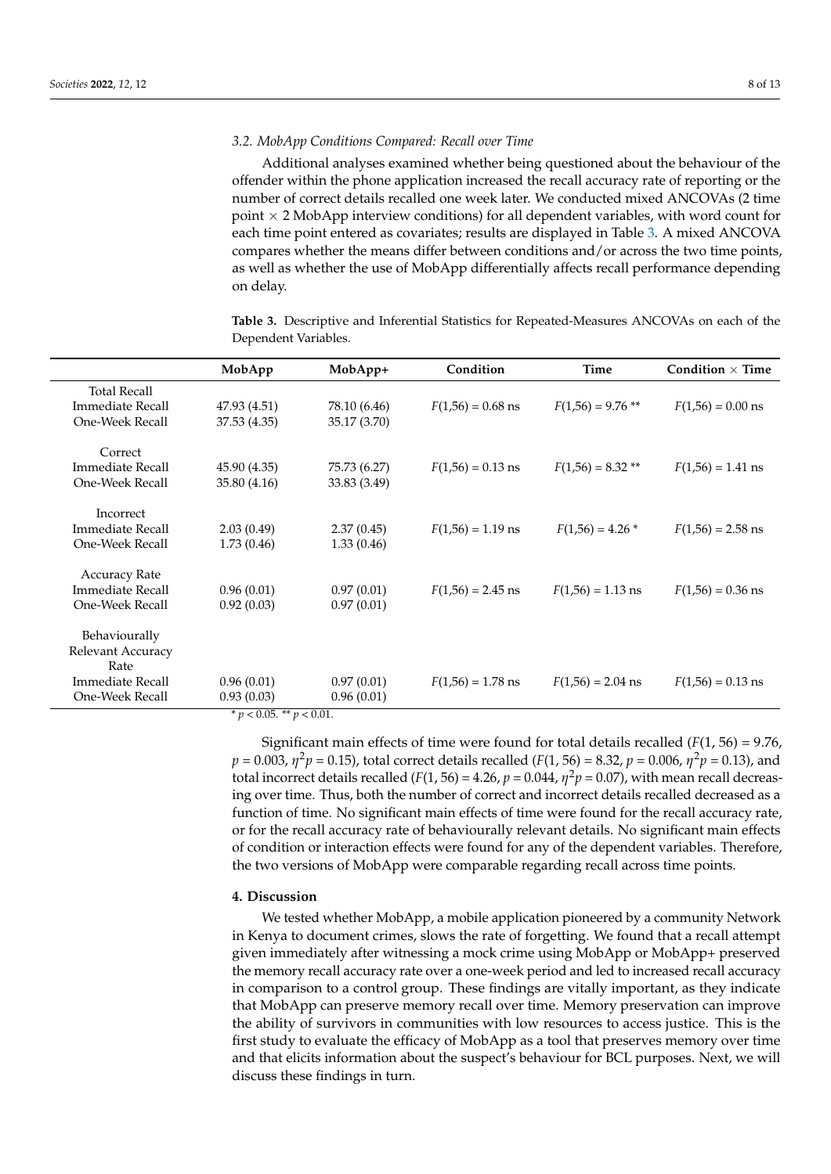#### *3.2. MobApp Conditions Compared: Recall over Time*

Additional analyses examined whether being questioned about the behaviour of the offender within the phone application increased the recall accuracy rate of reporting or the number of correct details recalled one week later. We conducted mixed ANCOVAs (2 time point  $\times$  2 MobApp interview conditions) for all dependent variables, with word count for each time point entered as covariates; results are displayed in Table [3.](#page-7-0) A mixed ANCOVA compares whether the means differ between conditions and/or across the two time points, as well as whether the use of MobApp differentially affects recall performance depending on delay.

<span id="page-7-0"></span>**Table 3.** Descriptive and Inferential Statistics for Repeated-Measures ANCOVAs on each of the Dependent Variables.

|                         | MobApp       | $MobApp+$    | Condition           | <b>Time</b>         | Condition $\times$ Time |
|-------------------------|--------------|--------------|---------------------|---------------------|-------------------------|
| <b>Total Recall</b>     |              |              |                     |                     |                         |
| Immediate Recall        | 47.93 (4.51) | 78.10 (6.46) | $F(1,56) = 0.68$ ns | $F(1,56) = 9.76$ ** | $F(1,56) = 0.00$ ns     |
| One-Week Recall         | 37.53 (4.35) | 35.17 (3.70) |                     |                     |                         |
| Correct                 |              |              |                     |                     |                         |
| <b>Immediate Recall</b> | 45.90 (4.35) | 75.73 (6.27) | $F(1,56) = 0.13$ ns | $F(1,56) = 8.32$ ** | $F(1,56) = 1.41$ ns     |
| One-Week Recall         | 35.80 (4.16) | 33.83 (3.49) |                     |                     |                         |
| Incorrect               |              |              |                     |                     |                         |
| Immediate Recall        | 2.03(0.49)   | 2.37(0.45)   | $F(1,56) = 1.19$ ns | $F(1,56) = 4.26*$   | $F(1,56) = 2.58$ ns     |
| One-Week Recall         | 1.73(0.46)   | 1.33(0.46)   |                     |                     |                         |
| <b>Accuracy Rate</b>    |              |              |                     |                     |                         |
| Immediate Recall        | 0.96(0.01)   | 0.97(0.01)   | $F(1,56) = 2.45$ ns | $F(1,56) = 1.13$ ns | $F(1,56) = 0.36$ ns     |
| One-Week Recall         | 0.92(0.03)   | 0.97(0.01)   |                     |                     |                         |
| Behaviourally           |              |              |                     |                     |                         |
| Relevant Accuracy       |              |              |                     |                     |                         |
| Rate                    |              |              |                     |                     |                         |
| Immediate Recall        | 0.96(0.01)   | 0.97(0.01)   | $F(1,56) = 1.78$ ns | $F(1,56) = 2.04$ ns | $F(1,56) = 0.13$ ns     |
| One-Week Recall         | 0.93(0.03)   | 0.96(0.01)   |                     |                     |                         |

 $* p < 0.05$ . \*\*  $p < 0.01$ .

Significant main effects of time were found for total details recalled (*F*(1, 56) = 9.76, *p* = 0.003, *η* <sup>2</sup>*p* = 0.15), total correct details recalled (*F*(1, 56) = 8.32, *p* = 0.006, *η* <sup>2</sup>*p* = 0.13), and total incorrect details recalled (*F*(1, 56) = 4.26,  $p = 0.044$ ,  $\eta^2 p = 0.07$ ), with mean recall decreasing over time. Thus, both the number of correct and incorrect details recalled decreased as a function of time. No significant main effects of time were found for the recall accuracy rate, or for the recall accuracy rate of behaviourally relevant details. No significant main effects of condition or interaction effects were found for any of the dependent variables. Therefore, the two versions of MobApp were comparable regarding recall across time points.

#### **4. Discussion**

We tested whether MobApp, a mobile application pioneered by a community Network in Kenya to document crimes, slows the rate of forgetting. We found that a recall attempt given immediately after witnessing a mock crime using MobApp or MobApp+ preserved the memory recall accuracy rate over a one-week period and led to increased recall accuracy in comparison to a control group. These findings are vitally important, as they indicate that MobApp can preserve memory recall over time. Memory preservation can improve the ability of survivors in communities with low resources to access justice. This is the first study to evaluate the efficacy of MobApp as a tool that preserves memory over time and that elicits information about the suspect's behaviour for BCL purposes. Next, we will discuss these findings in turn.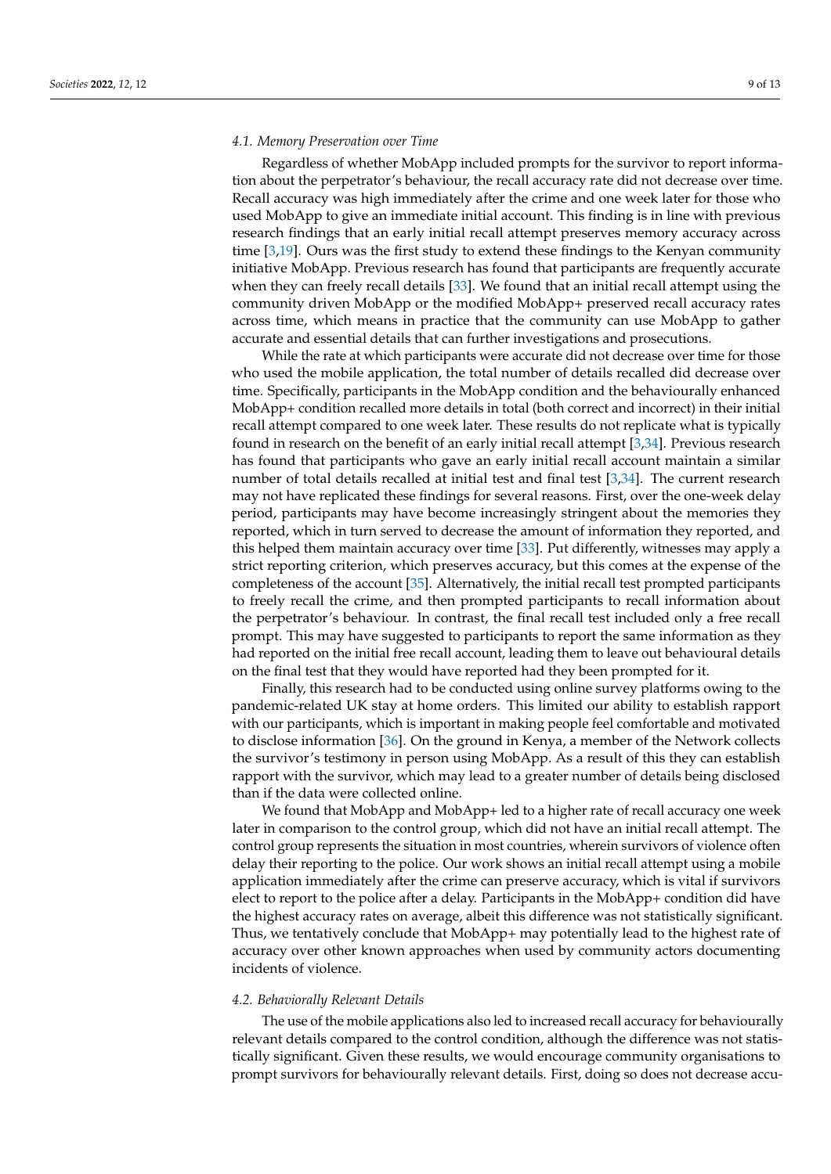# *4.1. Memory Preservation over Time*

Regardless of whether MobApp included prompts for the survivor to report information about the perpetrator's behaviour, the recall accuracy rate did not decrease over time. Recall accuracy was high immediately after the crime and one week later for those who used MobApp to give an immediate initial account. This finding is in line with previous research findings that an early initial recall attempt preserves memory accuracy across time [\[3,](#page-11-2)[19\]](#page-11-17). Ours was the first study to extend these findings to the Kenyan community initiative MobApp. Previous research has found that participants are frequently accurate when they can freely recall details [\[33\]](#page-12-4). We found that an initial recall attempt using the community driven MobApp or the modified MobApp+ preserved recall accuracy rates across time, which means in practice that the community can use MobApp to gather accurate and essential details that can further investigations and prosecutions.

While the rate at which participants were accurate did not decrease over time for those who used the mobile application, the total number of details recalled did decrease over time. Specifically, participants in the MobApp condition and the behaviourally enhanced MobApp+ condition recalled more details in total (both correct and incorrect) in their initial recall attempt compared to one week later. These results do not replicate what is typically found in research on the benefit of an early initial recall attempt [\[3](#page-11-2)[,34\]](#page-12-5). Previous research has found that participants who gave an early initial recall account maintain a similar number of total details recalled at initial test and final test [\[3,](#page-11-2)[34\]](#page-12-5). The current research may not have replicated these findings for several reasons. First, over the one-week delay period, participants may have become increasingly stringent about the memories they reported, which in turn served to decrease the amount of information they reported, and this helped them maintain accuracy over time [\[33\]](#page-12-4). Put differently, witnesses may apply a strict reporting criterion, which preserves accuracy, but this comes at the expense of the completeness of the account [\[35\]](#page-12-6). Alternatively, the initial recall test prompted participants to freely recall the crime, and then prompted participants to recall information about the perpetrator's behaviour. In contrast, the final recall test included only a free recall prompt. This may have suggested to participants to report the same information as they had reported on the initial free recall account, leading them to leave out behavioural details on the final test that they would have reported had they been prompted for it.

Finally, this research had to be conducted using online survey platforms owing to the pandemic-related UK stay at home orders. This limited our ability to establish rapport with our participants, which is important in making people feel comfortable and motivated to disclose information [\[36\]](#page-12-7). On the ground in Kenya, a member of the Network collects the survivor's testimony in person using MobApp. As a result of this they can establish rapport with the survivor, which may lead to a greater number of details being disclosed than if the data were collected online.

We found that MobApp and MobApp+ led to a higher rate of recall accuracy one week later in comparison to the control group, which did not have an initial recall attempt. The control group represents the situation in most countries, wherein survivors of violence often delay their reporting to the police. Our work shows an initial recall attempt using a mobile application immediately after the crime can preserve accuracy, which is vital if survivors elect to report to the police after a delay. Participants in the MobApp+ condition did have the highest accuracy rates on average, albeit this difference was not statistically significant. Thus, we tentatively conclude that MobApp+ may potentially lead to the highest rate of accuracy over other known approaches when used by community actors documenting incidents of violence.

#### *4.2. Behaviorally Relevant Details*

The use of the mobile applications also led to increased recall accuracy for behaviourally relevant details compared to the control condition, although the difference was not statistically significant. Given these results, we would encourage community organisations to prompt survivors for behaviourally relevant details. First, doing so does not decrease accu-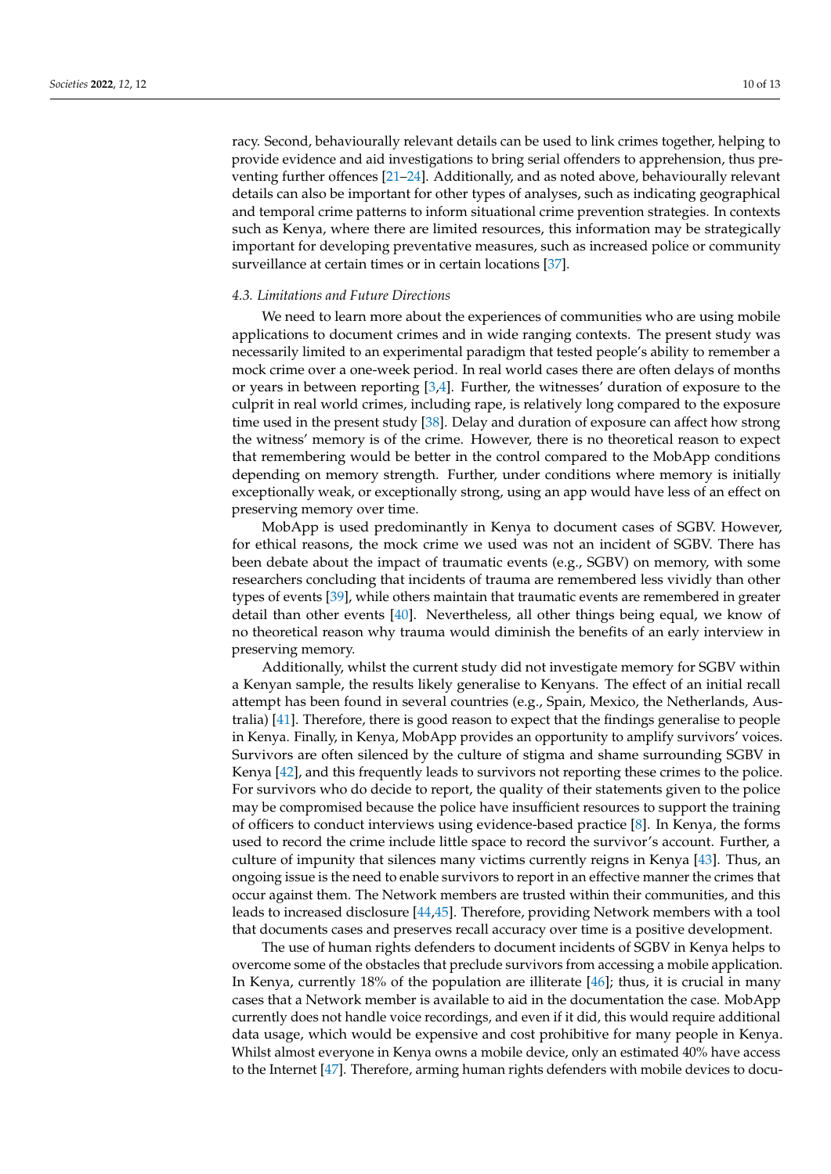racy. Second, behaviourally relevant details can be used to link crimes together, helping to provide evidence and aid investigations to bring serial offenders to apprehension, thus preventing further offences [\[21–](#page-11-19)[24\]](#page-11-22). Additionally, and as noted above, behaviourally relevant details can also be important for other types of analyses, such as indicating geographical and temporal crime patterns to inform situational crime prevention strategies. In contexts such as Kenya, where there are limited resources, this information may be strategically important for developing preventative measures, such as increased police or community surveillance at certain times or in certain locations [\[37\]](#page-12-8).

# *4.3. Limitations and Future Directions*

We need to learn more about the experiences of communities who are using mobile applications to document crimes and in wide ranging contexts. The present study was necessarily limited to an experimental paradigm that tested people's ability to remember a mock crime over a one-week period. In real world cases there are often delays of months or years in between reporting [\[3,](#page-11-2)[4\]](#page-11-3). Further, the witnesses' duration of exposure to the culprit in real world crimes, including rape, is relatively long compared to the exposure time used in the present study [\[38\]](#page-12-9). Delay and duration of exposure can affect how strong the witness' memory is of the crime. However, there is no theoretical reason to expect that remembering would be better in the control compared to the MobApp conditions depending on memory strength. Further, under conditions where memory is initially exceptionally weak, or exceptionally strong, using an app would have less of an effect on preserving memory over time.

MobApp is used predominantly in Kenya to document cases of SGBV. However, for ethical reasons, the mock crime we used was not an incident of SGBV. There has been debate about the impact of traumatic events (e.g., SGBV) on memory, with some researchers concluding that incidents of trauma are remembered less vividly than other types of events [\[39\]](#page-12-10), while others maintain that traumatic events are remembered in greater detail than other events [\[40\]](#page-12-11). Nevertheless, all other things being equal, we know of no theoretical reason why trauma would diminish the benefits of an early interview in preserving memory.

Additionally, whilst the current study did not investigate memory for SGBV within a Kenyan sample, the results likely generalise to Kenyans. The effect of an initial recall attempt has been found in several countries (e.g., Spain, Mexico, the Netherlands, Australia) [\[41\]](#page-12-12). Therefore, there is good reason to expect that the findings generalise to people in Kenya. Finally, in Kenya, MobApp provides an opportunity to amplify survivors' voices. Survivors are often silenced by the culture of stigma and shame surrounding SGBV in Kenya [\[42\]](#page-12-13), and this frequently leads to survivors not reporting these crimes to the police. For survivors who do decide to report, the quality of their statements given to the police may be compromised because the police have insufficient resources to support the training of officers to conduct interviews using evidence-based practice [\[8\]](#page-11-7). In Kenya, the forms used to record the crime include little space to record the survivor's account. Further, a culture of impunity that silences many victims currently reigns in Kenya [\[43\]](#page-12-14). Thus, an ongoing issue is the need to enable survivors to report in an effective manner the crimes that occur against them. The Network members are trusted within their communities, and this leads to increased disclosure [\[44,](#page-12-15)[45\]](#page-12-16). Therefore, providing Network members with a tool that documents cases and preserves recall accuracy over time is a positive development.

The use of human rights defenders to document incidents of SGBV in Kenya helps to overcome some of the obstacles that preclude survivors from accessing a mobile application. In Kenya, currently 18% of the population are illiterate [\[46\]](#page-12-17); thus, it is crucial in many cases that a Network member is available to aid in the documentation the case. MobApp currently does not handle voice recordings, and even if it did, this would require additional data usage, which would be expensive and cost prohibitive for many people in Kenya. Whilst almost everyone in Kenya owns a mobile device, only an estimated 40% have access to the Internet [\[47\]](#page-12-18). Therefore, arming human rights defenders with mobile devices to docu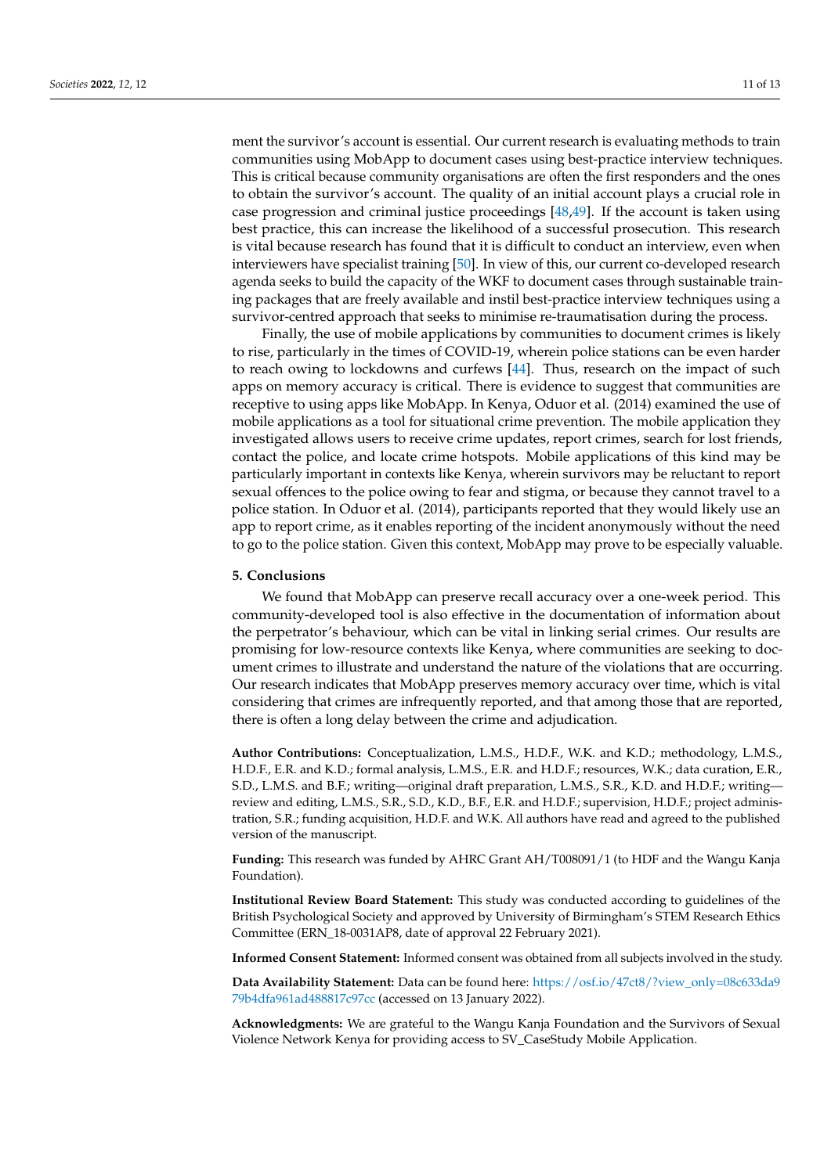ment the survivor's account is essential. Our current research is evaluating methods to train communities using MobApp to document cases using best-practice interview techniques. This is critical because community organisations are often the first responders and the ones to obtain the survivor's account. The quality of an initial account plays a crucial role in case progression and criminal justice proceedings [\[48,](#page-12-19)[49\]](#page-12-20). If the account is taken using best practice, this can increase the likelihood of a successful prosecution. This research is vital because research has found that it is difficult to conduct an interview, even when interviewers have specialist training [\[50\]](#page-12-21). In view of this, our current co-developed research agenda seeks to build the capacity of the WKF to document cases through sustainable training packages that are freely available and instil best-practice interview techniques using a survivor-centred approach that seeks to minimise re-traumatisation during the process.

Finally, the use of mobile applications by communities to document crimes is likely to rise, particularly in the times of COVID-19, wherein police stations can be even harder to reach owing to lockdowns and curfews [\[44\]](#page-12-15). Thus, research on the impact of such apps on memory accuracy is critical. There is evidence to suggest that communities are receptive to using apps like MobApp. In Kenya, Oduor et al. (2014) examined the use of mobile applications as a tool for situational crime prevention. The mobile application they investigated allows users to receive crime updates, report crimes, search for lost friends, contact the police, and locate crime hotspots. Mobile applications of this kind may be particularly important in contexts like Kenya, wherein survivors may be reluctant to report sexual offences to the police owing to fear and stigma, or because they cannot travel to a police station. In Oduor et al. (2014), participants reported that they would likely use an app to report crime, as it enables reporting of the incident anonymously without the need to go to the police station. Given this context, MobApp may prove to be especially valuable.

# **5. Conclusions**

We found that MobApp can preserve recall accuracy over a one-week period. This community-developed tool is also effective in the documentation of information about the perpetrator's behaviour, which can be vital in linking serial crimes. Our results are promising for low-resource contexts like Kenya, where communities are seeking to document crimes to illustrate and understand the nature of the violations that are occurring. Our research indicates that MobApp preserves memory accuracy over time, which is vital considering that crimes are infrequently reported, and that among those that are reported, there is often a long delay between the crime and adjudication.

**Author Contributions:** Conceptualization, L.M.S., H.D.F., W.K. and K.D.; methodology, L.M.S., H.D.F., E.R. and K.D.; formal analysis, L.M.S., E.R. and H.D.F.; resources, W.K.; data curation, E.R., S.D., L.M.S. and B.F.; writing—original draft preparation, L.M.S., S.R., K.D. and H.D.F.; writing review and editing, L.M.S., S.R., S.D., K.D., B.F., E.R. and H.D.F.; supervision, H.D.F.; project administration, S.R.; funding acquisition, H.D.F. and W.K. All authors have read and agreed to the published version of the manuscript.

**Funding:** This research was funded by AHRC Grant AH/T008091/1 (to HDF and the Wangu Kanja Foundation).

**Institutional Review Board Statement:** This study was conducted according to guidelines of the British Psychological Society and approved by University of Birmingham's STEM Research Ethics Committee (ERN\_18-0031AP8, date of approval 22 February 2021).

**Informed Consent Statement:** Informed consent was obtained from all subjects involved in the study.

**Data Availability Statement:** Data can be found here: [https://osf.io/47ct8/?view\\_only=08c633da9](https://osf.io/47ct8/?view_only=08c633da979b4dfa961ad488817c97cc) [79b4dfa961ad488817c97cc](https://osf.io/47ct8/?view_only=08c633da979b4dfa961ad488817c97cc) (accessed on 13 January 2022).

**Acknowledgments:** We are grateful to the Wangu Kanja Foundation and the Survivors of Sexual Violence Network Kenya for providing access to SV\_CaseStudy Mobile Application.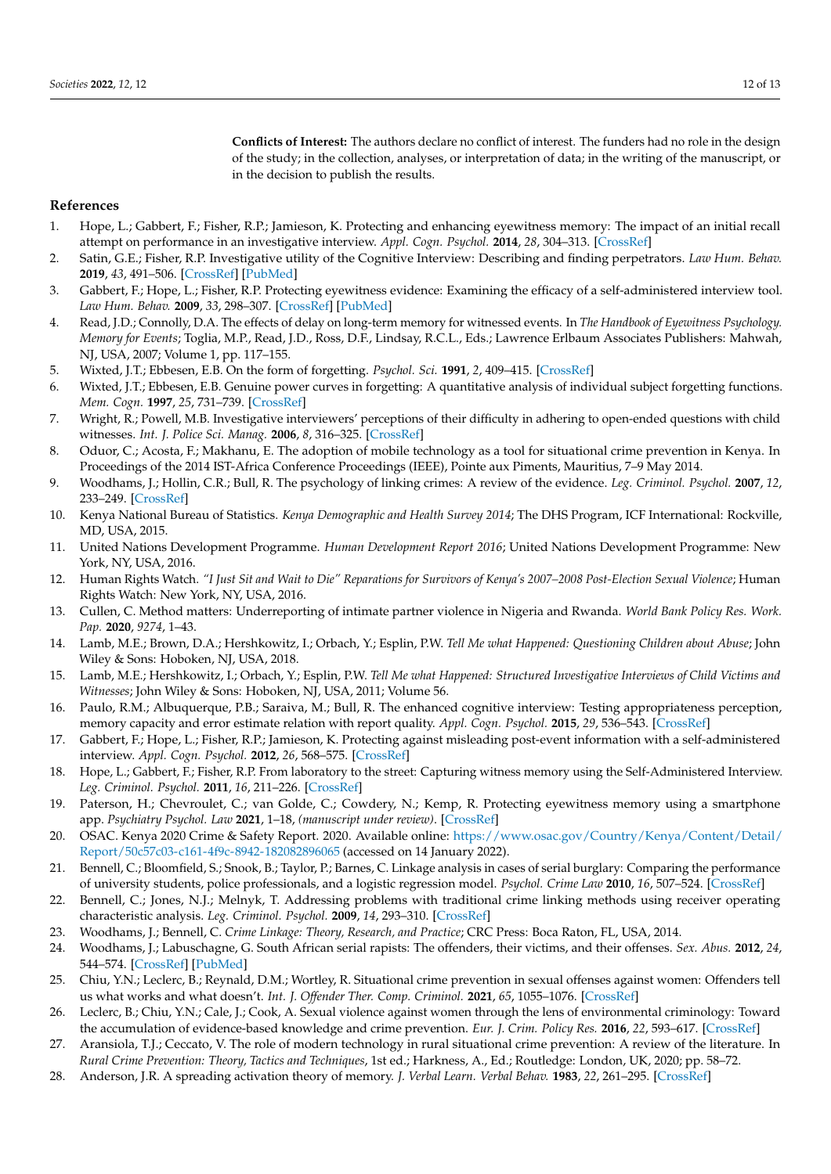**Conflicts of Interest:** The authors declare no conflict of interest. The funders had no role in the design of the study; in the collection, analyses, or interpretation of data; in the writing of the manuscript, or in the decision to publish the results.

# **References**

- <span id="page-11-0"></span>1. Hope, L.; Gabbert, F.; Fisher, R.P.; Jamieson, K. Protecting and enhancing eyewitness memory: The impact of an initial recall attempt on performance in an investigative interview. *Appl. Cogn. Psychol.* **2014**, *28*, 304–313. [\[CrossRef\]](http://doi.org/10.1002/acp.2984)
- <span id="page-11-1"></span>2. Satin, G.E.; Fisher, R.P. Investigative utility of the Cognitive Interview: Describing and finding perpetrators. *Law Hum. Behav.* **2019**, *43*, 491–506. [\[CrossRef\]](http://doi.org/10.1037/lhb0000326) [\[PubMed\]](http://www.ncbi.nlm.nih.gov/pubmed/30920236)
- <span id="page-11-2"></span>3. Gabbert, F.; Hope, L.; Fisher, R.P. Protecting eyewitness evidence: Examining the efficacy of a self-administered interview tool. *Law Hum. Behav.* **2009**, *33*, 298–307. [\[CrossRef\]](http://doi.org/10.1007/s10979-008-9146-8) [\[PubMed\]](http://www.ncbi.nlm.nih.gov/pubmed/18561007)
- <span id="page-11-3"></span>4. Read, J.D.; Connolly, D.A. The effects of delay on long-term memory for witnessed events. In *The Handbook of Eyewitness Psychology. Memory for Events*; Toglia, M.P., Read, J.D., Ross, D.F., Lindsay, R.C.L., Eds.; Lawrence Erlbaum Associates Publishers: Mahwah, NJ, USA, 2007; Volume 1, pp. 117–155.
- <span id="page-11-4"></span>5. Wixted, J.T.; Ebbesen, E.B. On the form of forgetting. *Psychol. Sci.* **1991**, *2*, 409–415. [\[CrossRef\]](http://doi.org/10.1111/j.1467-9280.1991.tb00175.x)
- <span id="page-11-5"></span>6. Wixted, J.T.; Ebbesen, E.B. Genuine power curves in forgetting: A quantitative analysis of individual subject forgetting functions. *Mem. Cogn.* **1997**, *25*, 731–739. [\[CrossRef\]](http://doi.org/10.3758/BF03211316)
- <span id="page-11-6"></span>7. Wright, R.; Powell, M.B. Investigative interviewers' perceptions of their difficulty in adhering to open-ended questions with child witnesses. *Int. J. Police Sci. Manag.* **2006**, *8*, 316–325. [\[CrossRef\]](http://doi.org/10.1350/ijps.2006.8.4.316)
- <span id="page-11-7"></span>8. Oduor, C.; Acosta, F.; Makhanu, E. The adoption of mobile technology as a tool for situational crime prevention in Kenya. In Proceedings of the 2014 IST-Africa Conference Proceedings (IEEE), Pointe aux Piments, Mauritius, 7–9 May 2014.
- <span id="page-11-8"></span>9. Woodhams, J.; Hollin, C.R.; Bull, R. The psychology of linking crimes: A review of the evidence. *Leg. Criminol. Psychol.* **2007**, *12*, 233–249. [\[CrossRef\]](http://doi.org/10.1348/135532506X118631)
- <span id="page-11-9"></span>10. Kenya National Bureau of Statistics. *Kenya Demographic and Health Survey 2014*; The DHS Program, ICF International: Rockville, MD, USA, 2015.
- <span id="page-11-10"></span>11. United Nations Development Programme. *Human Development Report 2016*; United Nations Development Programme: New York, NY, USA, 2016.
- <span id="page-11-11"></span>12. Human Rights Watch. *"I Just Sit and Wait to Die" Reparations for Survivors of Kenya's 2007–2008 Post-Election Sexual Violence*; Human Rights Watch: New York, NY, USA, 2016.
- <span id="page-11-12"></span>13. Cullen, C. Method matters: Underreporting of intimate partner violence in Nigeria and Rwanda. *World Bank Policy Res. Work. Pap.* **2020**, *9274*, 1–43.
- <span id="page-11-13"></span>14. Lamb, M.E.; Brown, D.A.; Hershkowitz, I.; Orbach, Y.; Esplin, P.W. *Tell Me what Happened: Questioning Children about Abuse*; John Wiley & Sons: Hoboken, NJ, USA, 2018.
- 15. Lamb, M.E.; Hershkowitz, I.; Orbach, Y.; Esplin, P.W. *Tell Me what Happened: Structured Investigative Interviews of Child Victims and Witnesses*; John Wiley & Sons: Hoboken, NJ, USA, 2011; Volume 56.
- <span id="page-11-14"></span>16. Paulo, R.M.; Albuquerque, P.B.; Saraiva, M.; Bull, R. The enhanced cognitive interview: Testing appropriateness perception, memory capacity and error estimate relation with report quality. *Appl. Cogn. Psychol.* **2015**, *29*, 536–543. [\[CrossRef\]](http://doi.org/10.1002/acp.3132)
- <span id="page-11-15"></span>17. Gabbert, F.; Hope, L.; Fisher, R.P.; Jamieson, K. Protecting against misleading post-event information with a self-administered interview. *Appl. Cogn. Psychol.* **2012**, *26*, 568–575. [\[CrossRef\]](http://doi.org/10.1002/acp.2828)
- <span id="page-11-16"></span>18. Hope, L.; Gabbert, F.; Fisher, R.P. From laboratory to the street: Capturing witness memory using the Self-Administered Interview. *Leg. Criminol. Psychol.* **2011**, *16*, 211–226. [\[CrossRef\]](http://doi.org/10.1111/j.2044-8333.2011.02015.x)
- <span id="page-11-17"></span>19. Paterson, H.; Chevroulet, C.; van Golde, C.; Cowdery, N.; Kemp, R. Protecting eyewitness memory using a smartphone app. *Psychiatry Psychol. Law* **2021**, 1–18, *(manuscript under review)*. [\[CrossRef\]](http://doi.org/10.1080/13218719.2021.1976303)
- <span id="page-11-18"></span>20. OSAC. Kenya 2020 Crime & Safety Report. 2020. Available online: [https://www.osac.gov/Country/Kenya/Content/Detail/](https://www.osac.gov/Country/Kenya/Content/Detail/Report/50c57c03-c161-4f9c-8942-182082896065) [Report/50c57c03-c161-4f9c-8942-182082896065](https://www.osac.gov/Country/Kenya/Content/Detail/Report/50c57c03-c161-4f9c-8942-182082896065) (accessed on 14 January 2022).
- <span id="page-11-19"></span>21. Bennell, C.; Bloomfield, S.; Snook, B.; Taylor, P.; Barnes, C. Linkage analysis in cases of serial burglary: Comparing the performance of university students, police professionals, and a logistic regression model. *Psychol. Crime Law* **2010**, *16*, 507–524. [\[CrossRef\]](http://doi.org/10.1080/10683160902971030)
- <span id="page-11-20"></span>22. Bennell, C.; Jones, N.J.; Melnyk, T. Addressing problems with traditional crime linking methods using receiver operating characteristic analysis. *Leg. Criminol. Psychol.* **2009**, *14*, 293–310. [\[CrossRef\]](http://doi.org/10.1348/135532508X349336)
- <span id="page-11-21"></span>23. Woodhams, J.; Bennell, C. *Crime Linkage: Theory, Research, and Practice*; CRC Press: Boca Raton, FL, USA, 2014.
- <span id="page-11-22"></span>24. Woodhams, J.; Labuschagne, G. South African serial rapists: The offenders, their victims, and their offenses. *Sex. Abus.* **2012**, *24*, 544–574. [\[CrossRef\]](http://doi.org/10.1177/1079063212438921) [\[PubMed\]](http://www.ncbi.nlm.nih.gov/pubmed/22434346)
- <span id="page-11-23"></span>25. Chiu, Y.N.; Leclerc, B.; Reynald, D.M.; Wortley, R. Situational crime prevention in sexual offenses against women: Offenders tell us what works and what doesn't. *Int. J. Offender Ther. Comp. Criminol.* **2021**, *65*, 1055–1076. [\[CrossRef\]](http://doi.org/10.1177/0306624X20919712)
- <span id="page-11-24"></span>26. Leclerc, B.; Chiu, Y.N.; Cale, J.; Cook, A. Sexual violence against women through the lens of environmental criminology: Toward the accumulation of evidence-based knowledge and crime prevention. *Eur. J. Crim. Policy Res.* **2016**, *22*, 593–617. [\[CrossRef\]](http://doi.org/10.1007/s10610-015-9300-z)
- <span id="page-11-25"></span>27. Aransiola, T.J.; Ceccato, V. The role of modern technology in rural situational crime prevention: A review of the literature. In *Rural Crime Prevention: Theory, Tactics and Techniques*, 1st ed.; Harkness, A., Ed.; Routledge: London, UK, 2020; pp. 58–72.
- <span id="page-11-26"></span>28. Anderson, J.R. A spreading activation theory of memory. *J. Verbal Learn. Verbal Behav.* **1983**, *22*, 261–295. [\[CrossRef\]](http://doi.org/10.1016/S0022-5371(83)90201-3)